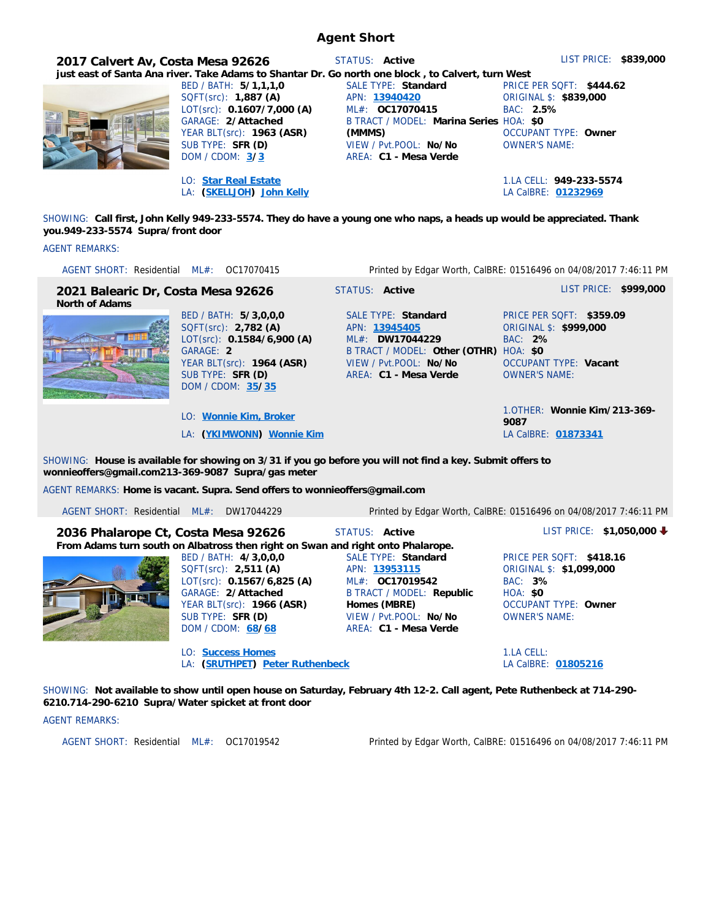## **Agent Short**

**2017 Calvert Av, Costa Mesa 92626** STATUS: **Active** LIST PRICE: **\$839,000 just east of Santa Ana river. Take Adams to Shantar Dr. Go north one block , to Calvert, turn West** BED / BATH: **5/1,1,1,0** SQFT(src): **1,887 (A)** LOT(src): **0.1607/7,000 (A)** GARAGE: **2/Attached** YEAR BLT(src): **1963 (ASR)** SUB TYPE: **SFR (D)** DOM / CDOM: **3/3** SALE TYPE: **Standard** APN: **13940420** ML#: **OC17070415** B TRACT / MODEL: **Marina Series**  HOA: **\$0 (MMMS)** VIEW / Pvt.POOL: **No/No** AREA: **C1 - Mesa Verde** PRICE PER SQFT: **\$444.62** ORIGINAL \$: **\$839,000** BAC: **2.5%** OCCUPANT TYPE: **Owner** OWNER'S NAME: LO: **Star Real Estate** 1.LA CELL: **949-233-5574** LA: **(SKELLJOH) John Kelly** LA CalBRE: **01232969**

SHOWING: **Call first, John Kelly 949-233-5574. They do have a young one who naps, a heads up would be appreciated. Thank you.949-233-5574 Supra/front door**

### AGENT REMARKS:

| AGENT SHORT: Residential ML#: 0C17070415             |                                                                                                                                                                 |                                                                                                                                             | Printed by Edgar Worth, CalBRE: 01516496 on 04/08/2017 7:46:11 PM                                                                               |
|------------------------------------------------------|-----------------------------------------------------------------------------------------------------------------------------------------------------------------|---------------------------------------------------------------------------------------------------------------------------------------------|-------------------------------------------------------------------------------------------------------------------------------------------------|
| 2021 Balearic Dr, Costa Mesa 92626<br>North of Adams |                                                                                                                                                                 | STATUS: Active                                                                                                                              | LIST PRICE: \$999,000                                                                                                                           |
|                                                      | BED / BATH: 5/3,0,0,0<br>SQFT(src): 2,782 (A)<br>LOT(src): 0.1584/6,900 (A)<br>GARAGE: 2<br>YEAR BLT(src): 1964 (ASR)<br>SUB TYPE: SFR (D)<br>DOM / CDOM: 35/35 | SALE TYPE: Standard<br>APN: 13945405<br>ML#: DW17044229<br>B TRACT / MODEL: Other (OTHR)<br>VIEW / Pyt.POOL: No/No<br>AREA: C1 - Mesa Verde | <b>PRICE PER SQFT: \$359.09</b><br>ORIGINAL \$: \$999,000<br>BAC: 2%<br><b>HOA: \$0</b><br><b>OCCUPANT TYPE: Vacant</b><br><b>OWNER'S NAME:</b> |
|                                                      | LO: Wonnie Kim, Broker<br>LA: (YKIMWONN) Wonnie Kim                                                                                                             |                                                                                                                                             | 1.0THER: Wonnie Kim/213-369-<br>9087<br>LA CalBRE: 01873341                                                                                     |
|                                                      | wonnieoffers@gmail.com213-369-9087 Supra/gas meter                                                                                                              | SHOWING: House is available for showing on 3/31 if you go before you will not find a key. Submit offers to                                  |                                                                                                                                                 |

AGENT REMARKS: **Home is vacant. Supra. Send offers to wonnieoffers@gmail.com**

| AGENT SHORT: Residential ML#: DW17044229 |                                                                                                                                                                          |                                                                                                                                                         | Printed by Edgar Worth, CalBRE: 01516496 on 04/08/2017 7:46:11 PM                                                                         |
|------------------------------------------|--------------------------------------------------------------------------------------------------------------------------------------------------------------------------|---------------------------------------------------------------------------------------------------------------------------------------------------------|-------------------------------------------------------------------------------------------------------------------------------------------|
| 2036 Phalarope Ct, Costa Mesa 92626      | From Adams turn south on Albatross then right on Swan and right onto Phalarope.                                                                                          | STATUS: Active                                                                                                                                          | LIST PRICE: $$1,050,000 \rightarrow$                                                                                                      |
| Taji                                     | BED / BATH: 4/3,0,0,0<br>SOFT(src): 2,511 (A)<br>LOT(src): 0.1567/6.825 (A)<br>GARAGE: 2/Attached<br>YEAR BLT(src): 1966 (ASR)<br>SUB TYPE: SFR (D)<br>DOM / CDOM: 68/68 | SALE TYPE: Standard<br>APN: 13953115<br>ML#: 0C17019542<br>B TRACT / MODEL: Republic<br>Homes (MBRE)<br>VIEW / Pyt.POOL: No/No<br>AREA: C1 - Mesa Verde | PRICE PER SQFT: \$418.16<br>ORIGINAL \$: \$1,099,000<br>BAC: 3%<br><b>HOA: \$0</b><br><b>OCCUPANT TYPE: Owner</b><br><b>OWNER'S NAME:</b> |
|                                          | LO: Success Homes<br>LA: (SRUTHPET) Peter Ruthenbeck                                                                                                                     |                                                                                                                                                         | 1.LA CELL:<br>LA CalBRE: 01805216                                                                                                         |

SHOWING: **Not available to show until open house on Saturday, February 4th 12-2. Call agent, Pete Ruthenbeck at 714-290- 6210.714-290-6210 Supra/Water spicket at front door**

AGENT REMARKS:

AGENT SHORT:ResidentialML#: OC17019542 Printed by Edgar Worth, CalBRE: 01516496 on 04/08/2017 7:46:11 PM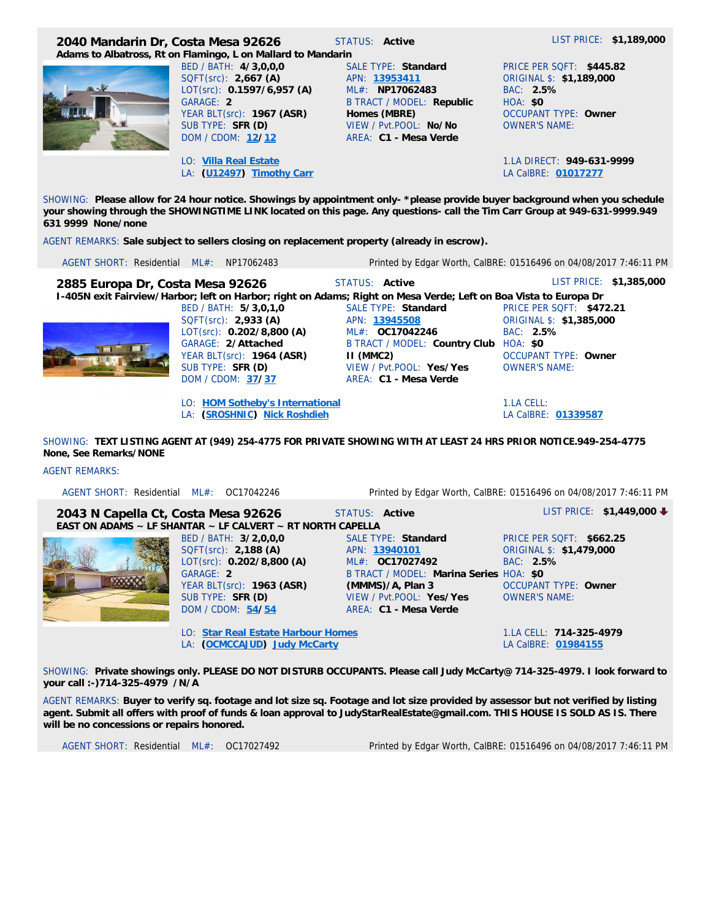| Adams to Albatross, Rt on Flamingo, L on Mallard to Mandarin                                                                                            |                                                                                                                                      |
|---------------------------------------------------------------------------------------------------------------------------------------------------------|--------------------------------------------------------------------------------------------------------------------------------------|
|                                                                                                                                                         |                                                                                                                                      |
| SALE TYPE: Standard<br>APN: 13953411<br>ML#: NP17062483<br>B TRACT / MODEL: Republic<br>Homes (MBRE)<br>VIEW / Pyt.POOL: No/No<br>AREA: C1 - Mesa Verde | PRICE PER SQFT: \$445.82<br>ORIGINAL \$: \$1,189,000<br>BAC: 2.5%<br>HOA: \$0<br><b>OCCUPANT TYPE: Owner</b><br><b>OWNER'S NAME:</b> |
|                                                                                                                                                         | 1.LA DIRECT: 949-631-9999<br>LA CalBRE: 01017277                                                                                     |
|                                                                                                                                                         | SHOWING: Please allow for 24 hour potice Showings by appointment only- *please provide buyer background when you schedule            |

SHOWING: **Please allow for 24 hour notice. Showings by appointment only- \*please provide buyer background when you schedule your showing through the SHOWINGTIME LINK located on this page. Any questions- call the Tim Carr Group at 949-631-9999.949 631 9999 None/none**

AGENT REMARKS: **Sale subject to sellers closing on replacement property (already in escrow).**

| AGENT SHORT: Residential ML#:    | NP17062483                                                                                                                                                              |                                                                                                                                                            | Printed by Edgar Worth, CalBRE: 01516496 on 04/08/2017 7:46:11 PM                                                                           |
|----------------------------------|-------------------------------------------------------------------------------------------------------------------------------------------------------------------------|------------------------------------------------------------------------------------------------------------------------------------------------------------|---------------------------------------------------------------------------------------------------------------------------------------------|
| 2885 Europa Dr, Costa Mesa 92626 | 1-405N exit Fairview/Harbor; left on Harbor; right on Adams; Right on Mesa Verde; Left on Boa Vista to Europa Dr                                                        | STATUS: Active                                                                                                                                             | LIST PRICE: \$1,385,000                                                                                                                     |
|                                  | BED / BATH: 5/3,0,1,0<br>SOFT(src): 2,933 (A)<br>LOT(src): 0.202/8,800 (A)<br>GARAGE: 2/Attached<br>YEAR BLT(src): 1964 (ASR)<br>SUB TYPE: SFR (D)<br>DOM / CDOM: 37/37 | SALE TYPE: Standard<br>APN: 13945508<br>ML#: 0C17042246<br>B TRACT / MODEL: Country Club<br>II (MMC2)<br>VIEW / Pvt.POOL: Yes/Yes<br>AREA: C1 - Mesa Verde | PRICE PER SOFT: \$472.21<br>ORIGINAL \$: \$1,385,000<br>BAC: 2.5%<br><b>HOA: \$0</b><br><b>OCCUPANT TYPE: Owner</b><br><b>OWNER'S NAME:</b> |
|                                  | LO: HOM Sotheby's International<br>LA: (SROSHNIC) Nick Roshdieh                                                                                                         |                                                                                                                                                            | 1.LA CELL:<br>LA CalBRE: 01339587                                                                                                           |

SHOWING: **TEXT LISTING AGENT AT (949) 254-4775 FOR PRIVATE SHOWING WITH AT LEAST 24 HRS PRIOR NOTICE.949-254-4775 None, See Remarks/NONE**

## AGENT REMARKS:

| AGENT SHORT: Residential ML#: 0C17042246 |                                                                                                                                                                |                                                                                                                                                                                 | Printed by Edgar Worth, CalBRE: 01516496 on 04/08/2017 7:46:11 PM                                                               |
|------------------------------------------|----------------------------------------------------------------------------------------------------------------------------------------------------------------|---------------------------------------------------------------------------------------------------------------------------------------------------------------------------------|---------------------------------------------------------------------------------------------------------------------------------|
| 2043 N Capella Ct, Costa Mesa 92626      | EAST ON ADAMS ~ LF SHANTAR ~ LF CALVERT ~ RT NORTH CAPELLA                                                                                                     | STATUS: Active                                                                                                                                                                  | LIST PRICE: \$1,449,000 →                                                                                                       |
|                                          | BED / BATH: 3/2.0.0.0<br>SQFT(src): 2,188 (A)<br>LOT(src): 0.202/8,800 (A)<br>GARAGE: 2<br>YEAR BLT(src): 1963 (ASR)<br>SUB TYPE: SFR (D)<br>DOM / CDOM: 54/54 | SALE TYPE: Standard<br>APN: 13940101<br>ML#: OC17027492<br>B TRACT / MODEL: Marina Series HOA: \$0<br>$(MMMS)/A$ , Plan 3<br>VIEW / Pyt. POOL: Yes/Yes<br>AREA: C1 - Mesa Verde | <b>PRICE PER SQFT: \$662.25</b><br>ORIGINAL \$: \$1,479,000<br>BAC: 2.5%<br><b>OCCUPANT TYPE: Owner</b><br><b>OWNER'S NAME:</b> |
|                                          | LO: Star Real Estate Harbour Homes<br>LA: (OCMCCAJUD) Judy McCarty                                                                                             |                                                                                                                                                                                 | 1.LA CELL: 714-325-4979<br>LA CalBRE: 01984155                                                                                  |

SHOWING: **Private showings only. PLEASE DO NOT DISTURB OCCUPANTS. Please call Judy McCarty@ 714-325-4979. I look forward to your call :-)714-325-4979 /N/A**

AGENT REMARKS: **Buyer to verify sq. footage and lot size sq. Footage and lot size provided by assessor but not verified by listing agent. Submit all offers with proof of funds & loan approval to JudyStarRealEstate@gmail.com. THIS HOUSE IS SOLD AS IS. There will be no concessions or repairs honored.**

AGENT SHORT:ResidentialML#: OC17027492 Printed by Edgar Worth, CalBRE: 01516496 on 04/08/2017 7:46:11 PM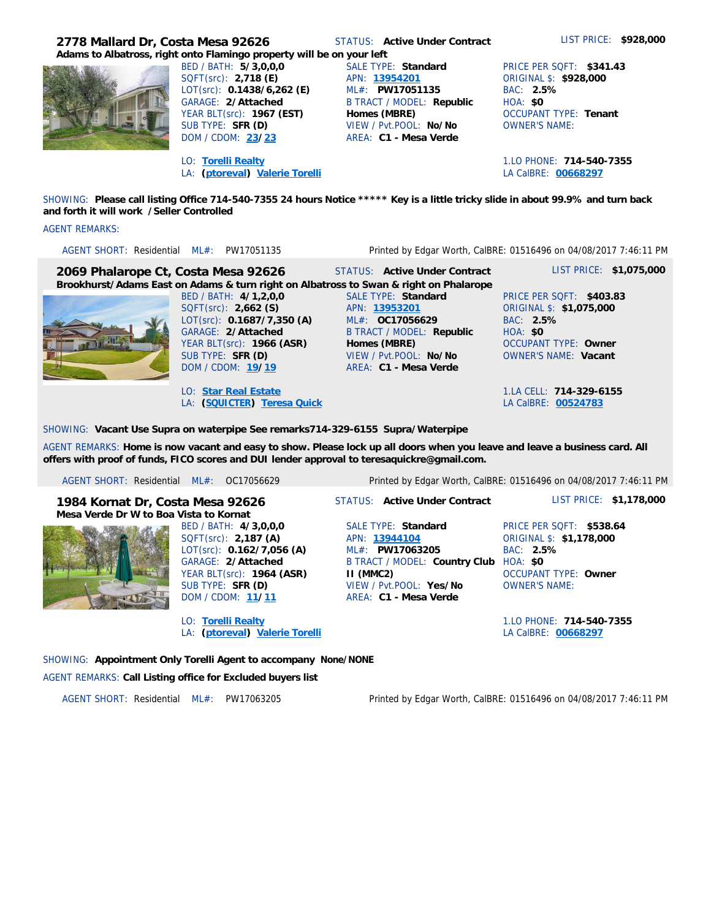**2778 Mallard Dr, Costa Mesa 92626** STATUS: **Active Under Contract** LIST PRICE: **\$928,000 Adams to Albatross, right onto Flamingo property will be on your left** BED / BATH: **5/3,0,0,0** SQFT(src): **2,718 (E)** LOT(src): **0.1438/6,262 (E)** GARAGE: **2/Attached** YEAR BLT(src): **1967 (EST)** SUB TYPE: **SFR (D)** DOM / CDOM: **23/23** SALE TYPE: **Standard** APN: **13954201** ML#: **PW17051135** B TRACT / MODEL: **Republic Homes (MBRE)** VIEW / Pvt.POOL: **No/No** AREA: **C1 - Mesa Verde** PRICE PER SQFT: **\$341.43** ORIGINAL \$: **\$928,000** BAC: **2.5%** HOA: **\$0** OCCUPANT TYPE: **Tenant** OWNER'S NAME: LO: **Torelli Realty** 1.LO PHONE: **714-540-7355** LA: **(ptoreval) Valerie Torelli** LA CalBRE: **00668297**

SHOWING: **Please call listing Office 714-540-7355 24 hours Notice \*\*\*\*\* Key is a little tricky slide in about 99.9% and turn back and forth it will work /Seller Controlled**

### AGENT REMARKS:

AGENT SHORT:ResidentialML#: PW17051135 Printed by Edgar Worth, CalBRE: 01516496 on 04/08/2017 7:46:11 PM

**2069 Phalarope Ct, Costa Mesa 92626** STATUS: **Active Under Contract** LIST PRICE: **\$1,075,000 Brookhurst/Adams East on Adams & turn right on Albatross to Swan & right on Phalarope**



BED / BATH: **4/1,2,0,0** SQFT(src): **2,662 (S)** LOT(src): **0.1687/7,350 (A)** GARAGE: **2/Attached** YEAR BLT(src): **1966 (ASR)** SUB TYPE: **SFR (D)** DOM / CDOM: **19/19**

LO: **Star Real Estate** 1.LA CELL: **714-329-6155** LA: **(SQUICTER) Teresa Quick** LA CalBRE: **00524783**

SALE TYPE: **Standard** APN: **13953201** ML#: **OC17056629** B TRACT / MODEL: **Republic Homes (MBRE)** VIEW / Pvt.POOL: **No/No** AREA: **C1 - Mesa Verde**

PRICE PER SQFT: **\$403.83** ORIGINAL \$: **\$1,075,000** BAC: **2.5%** HOA: **\$0** OCCUPANT TYPE: **Owner** OWNER'S NAME: **Vacant**

SHOWING: **Vacant Use Supra on waterpipe See remarks714-329-6155 Supra/Waterpipe**

AGENT REMARKS: **Home is now vacant and easy to show. Please lock up all doors when you leave and leave a business card. All offers with proof of funds, FICO scores and DUI lender approval to teresaquickre@gmail.com.**

**1984 Kornat Dr, Costa Mesa 92626** STATUS: **Active Under Contract** LIST PRICE: **\$1,178,000 Mesa Verde Dr W to Boa Vista to Kornat**



BED / BATH: **4/3,0,0,0** SQFT(src): **2,187 (A)** LOT(src): **0.162/7,056 (A)** GARAGE: **2/Attached** YEAR BLT(src): **1964 (ASR)** SUB TYPE: **SFR (D)** DOM / CDOM: **11/11**

LO: **Torelli Realty** 1.LO PHONE: **714-540-7355** LA: **(ptoreval) Valerie Torelli** LA CalBRE: **00668297**

AGENT SHORT:ResidentialML#: OC17056629 Printed by Edgar Worth, CalBRE: 01516496 on 04/08/2017 7:46:11 PM

SALE TYPE: **Standard** APN: **13944104** ML#: **PW17063205** B TRACT / MODEL: **Country Club**  HOA: **\$0 II (MMC2)** VIEW / Pvt.POOL: **Yes/No**

AREA: **C1 - Mesa Verde**

PRICE PER SQFT: **\$538.64** ORIGINAL \$: **\$1,178,000** BAC: **2.5%** OCCUPANT TYPE: **Owner** OWNER'S NAME:

SHOWING: **Appointment Only Torelli Agent to accompany None/NONE**

AGENT REMARKS: **Call Listing office for Excluded buyers list**

AGENT SHORT:ResidentialML#: PW17063205 Printed by Edgar Worth, CalBRE: 01516496 on 04/08/2017 7:46:11 PM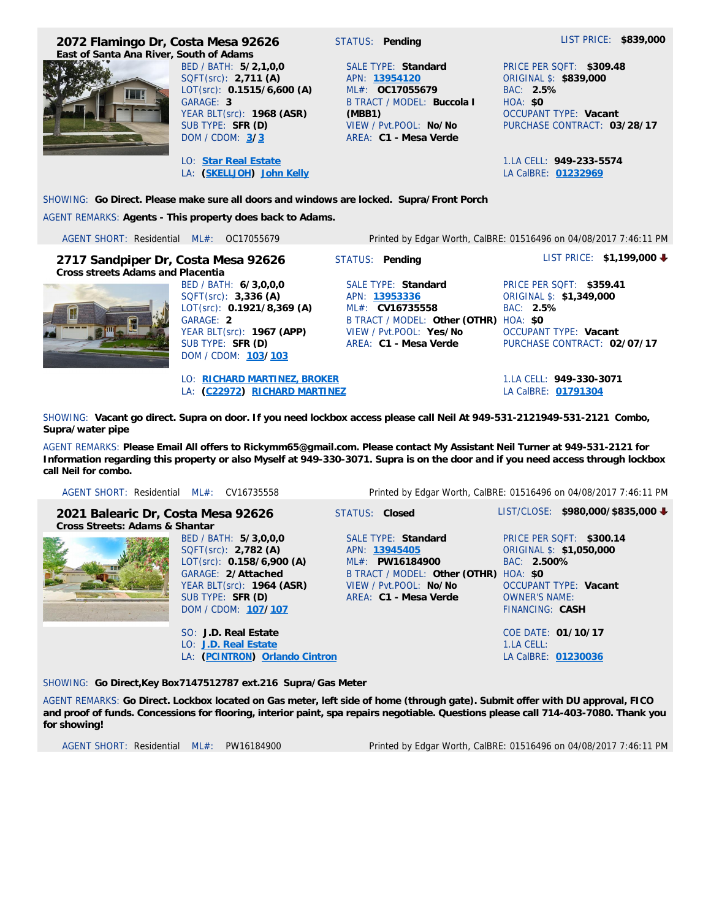|                                                                          | 2072 Flamingo Dr, Costa Mesa 92626                 | STATUS: Pending                                                                          | LIST PRICE: \$839,000                                             |
|--------------------------------------------------------------------------|----------------------------------------------------|------------------------------------------------------------------------------------------|-------------------------------------------------------------------|
| East of Santa Ana River, South of Adams                                  |                                                    |                                                                                          |                                                                   |
|                                                                          | BED / BATH: 5/2,1,0,0                              | SALE TYPE: Standard                                                                      | PRICE PER SOFT: \$309.48                                          |
|                                                                          | SOFT(src): 2,711 (A)<br>LOT(src): 0.1515/6,600 (A) | APN: 13954120<br>ML#: OC17055679                                                         | ORIGINAL \$: \$839,000<br>BAC: 2.5%                               |
| ШE                                                                       | GARAGE: 3                                          | B TRACT / MODEL: Buccola I                                                               | <b>HOA: \$0</b>                                                   |
|                                                                          | YEAR BLT(src): 1968 (ASR)                          | (MBB1)                                                                                   | <b>OCCUPANT TYPE: Vacant</b>                                      |
|                                                                          | SUB TYPE: SFR (D)                                  | VIEW / Pvt.POOL: No/No                                                                   | PURCHASE CONTRACT: 03/28/17                                       |
|                                                                          | DOM / CDOM: $3/3$                                  | AREA: C1 - Mesa Verde                                                                    |                                                                   |
|                                                                          | LO: Star Real Estate                               |                                                                                          | 1.LA CELL: 949-233-5574                                           |
|                                                                          | LA: (SKELLJOH) John Kelly                          |                                                                                          | LA CalBRE: 01232969                                               |
|                                                                          |                                                    |                                                                                          |                                                                   |
|                                                                          |                                                    | SHOWING: Go Direct. Please make sure all doors and windows are locked. Supra/Front Porch |                                                                   |
| AGENT REMARKS: Agents - This property does back to Adams.                |                                                    |                                                                                          |                                                                   |
|                                                                          |                                                    |                                                                                          |                                                                   |
| AGENT SHORT: Residential ML#: 0C17055679                                 |                                                    |                                                                                          | Printed by Edgar Worth, CalBRE: 01516496 on 04/08/2017 7:46:11 PM |
|                                                                          |                                                    | STATUS: Pending                                                                          | LIST PRICE: \$1,199,000 ♦                                         |
| 2717 Sandpiper Dr, Costa Mesa 92626<br>Cross streets Adams and Placentia |                                                    |                                                                                          |                                                                   |
|                                                                          | BED / BATH: 6/3,0,0,0                              | SALE TYPE: Standard                                                                      | PRICE PER SQFT: \$359.41                                          |
|                                                                          | SQFT(src): 3,336 (A)                               | APN: 13953336                                                                            | ORIGINAL \$: \$1,349,000                                          |
|                                                                          | LOT(src): 0.1921/8,369 (A)                         | ML#: CV16735558                                                                          | BAC: 2.5%                                                         |
|                                                                          | GARAGE: 2                                          | B TRACT / MODEL: Other (OTHR) HOA: \$0                                                   |                                                                   |
|                                                                          | YEAR BLT(src): 1967 (APP)<br>SUB TYPE: SFR (D)     | VIEW / Pvt.POOL: Yes/No<br>AREA: C1 - Mesa Verde                                         | <b>OCCUPANT TYPE: Vacant</b><br>PURCHASE CONTRACT: 02/07/17       |
|                                                                          | DOM / CDOM: 103/103                                |                                                                                          |                                                                   |

LA: **(C22972) RICHARD MARTINEZ** LA CalBRE: **01791304**

SHOWING: **Vacant go direct. Supra on door. If you need lockbox access please call Neil At 949-531-2121949-531-2121 Combo, Supra/water pipe**

AGENT REMARKS: **Please Email All offers to Rickymm65@gmail.com. Please contact My Assistant Neil Turner at 949-531-2121 for Information regarding this property or also Myself at 949-330-3071. Supra is on the door and if you need access through lockbox call Neil for combo.**

> SALE TYPE: **Standard** APN: **13945405** ML#: **PW16184900**

VIEW / Pvt.POOL: **No/No** AREA: **C1 - Mesa Verde**

**2021 Balearic Dr, Costa Mesa 92626** STATUS: **Closed** LIST/CLOSE: **\$980,000/\$835,000 Cross Streets: Adams & Shantar**



BED / BATH: **5/3,0,0,0** SQFT(src): **2,782 (A)** LOT(src): **0.158/6,900 (A)** GARAGE: **2/Attached** YEAR BLT(src): **1964 (ASR)** SUB TYPE: **SFR (D)** DOM / CDOM: **107/107**

SO: **J.D. Real Estate** COE DATE: **01/10/17** LO: **J.D. Real Estate** 1.LA CELL: LA: **(PCINTRON) Orlando Cintron** LA CalBRE: **01230036**

AGENT SHORT:ResidentialML#: CV16735558 Printed by Edgar Worth, CalBRE: 01516496 on 04/08/2017 7:46:11 PM

B TRACT / MODEL: **Other (OTHR)** HOA: **\$0** PRICE PER SQFT: **\$300.14** ORIGINAL \$: **\$1,050,000** BAC: **2.500%** OCCUPANT TYPE: **Vacant** OWNER'S NAME: FINANCING: **CASH**

SHOWING: **Go Direct,Key Box7147512787 ext.216 Supra/Gas Meter**

AGENT REMARKS: **Go Direct. Lockbox located on Gas meter, left side of home (through gate). Submit offer with DU approval, FICO and proof of funds. Concessions for flooring, interior paint, spa repairs negotiable. Questions please call 714-403-7080. Thank you for showing!**

AGENT SHORT:ResidentialML#: PW16184900 Printed by Edgar Worth, CalBRE: 01516496 on 04/08/2017 7:46:11 PM